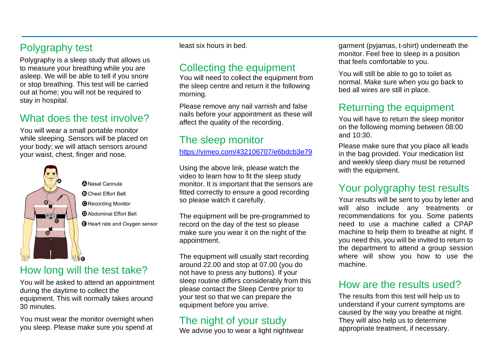# Polygraphy test

Polygraphy is a sleep study that allows us to measure your breathing while you are asleep. We will be able to tell if you snore or stop breathing. This test will be carried out at home; you will not be required to stay in hospital.

# What does the test involve?

You will wear a small portable monitor while sleeping. Sensors will be placed on your body; we will attach sensors around your waist, chest, finger and nose.



**ANasal Cannula B** Chest Fffort Belt **O**Recording Monitor **D** Abdominal Fffort Belt **O** Heart rate and Oxygen sensor

### How long will the test take?

You will be asked to attend an appointment during the daytime to collect the equipment. This will normally takes around 30 minutes.

You must wear the monitor overnight when you sleep. Please make sure you spend at least six hours in bed.

# Collecting the equipment

You will need to collect the equipment from the sleep centre and return it the following morning.

Please remove any nail varnish and false nails before your appointment as these will affect the quality of the recording.

# The sleep monitor

<https://vimeo.com/432106707/e6bdcb3e79>

Using the above link, please watch the video to learn how to fit the sleep study monitor. It is important that the sensors are fitted correctly to ensure a good recording so please watch it carefully.

The equipment will be pre-programmed to record on the day of the test so please make sure you wear it on the night of the appointment.

The equipment will usually start recording around 22.00 and stop at 07.00 (you do not have to press any buttons). If your sleep routine differs considerably from this please contact the Sleep Centre prior to your test so that we can prepare the equipment before you arrive.

#### The night of your study

We advise you to wear a light nightwear

garment (pyjamas, t-shirt) underneath the monitor. Feel free to sleep in a position that feels comfortable to you.

You will still be able to go to toilet as normal. Make sure when you go back to bed all wires are still in place.

# Returning the equipment

You will have to return the sleep monitor on the following morning between 08:00 and 10:30.

Please make sure that you place all leads in the bag provided. Your medication list and weekly sleep diary must be returned with the equipment.

# Your polygraphy test results

Your results will be sent to you by letter and will also include any treatments or recommendations for you. Some patients need to use a machine called a CPAP machine to help them to breathe at night. If you need this, you will be invited to return to the department to attend a group session where will show you how to use the machine.

### How are the results used?

The results from this test will help us to understand if your current symptoms are caused by the way you breathe at night. They will also help us to determine appropriate treatment, if necessary.